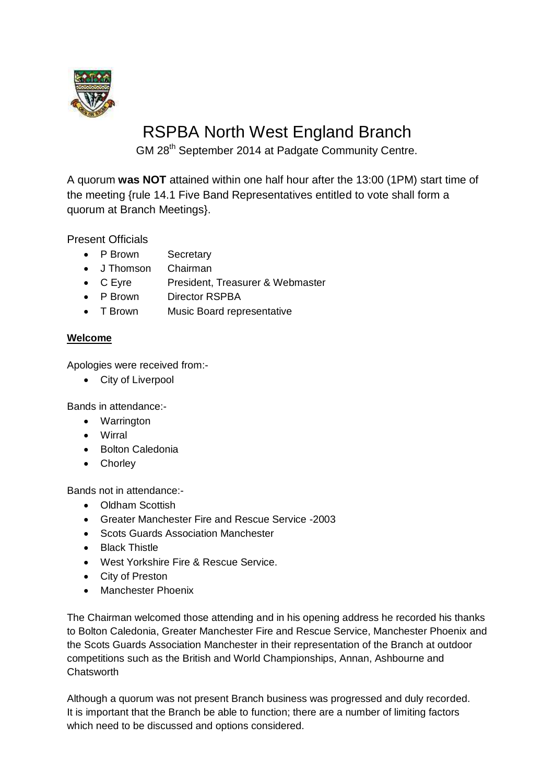

# RSPBA North West England Branch

GM 28th September 2014 at Padgate Community Centre.

A quorum **was NOT** attained within one half hour after the 13:00 (1PM) start time of the meeting {rule 14.1 Five Band Representatives entitled to vote shall form a quorum at Branch Meetings}.

Present Officials

- P Brown Secretary
- J Thomson Chairman
- C Eyre President, Treasurer & Webmaster
- P Brown Director RSPBA
- T Brown Music Board representative

# **Welcome**

Apologies were received from:-

• City of Liverpool

Bands in attendance:-

- Warrington
- Wirral
- Bolton Caledonia
- Chorley

Bands not in attendance:-

- Oldham Scottish
- Greater Manchester Fire and Rescue Service -2003
- Scots Guards Association Manchester
- Black Thistle
- West Yorkshire Fire & Rescue Service.
- City of Preston
- Manchester Phoenix

The Chairman welcomed those attending and in his opening address he recorded his thanks to Bolton Caledonia, Greater Manchester Fire and Rescue Service, Manchester Phoenix and the Scots Guards Association Manchester in their representation of the Branch at outdoor competitions such as the British and World Championships, Annan, Ashbourne and **Chatsworth** 

Although a quorum was not present Branch business was progressed and duly recorded. It is important that the Branch be able to function; there are a number of limiting factors which need to be discussed and options considered.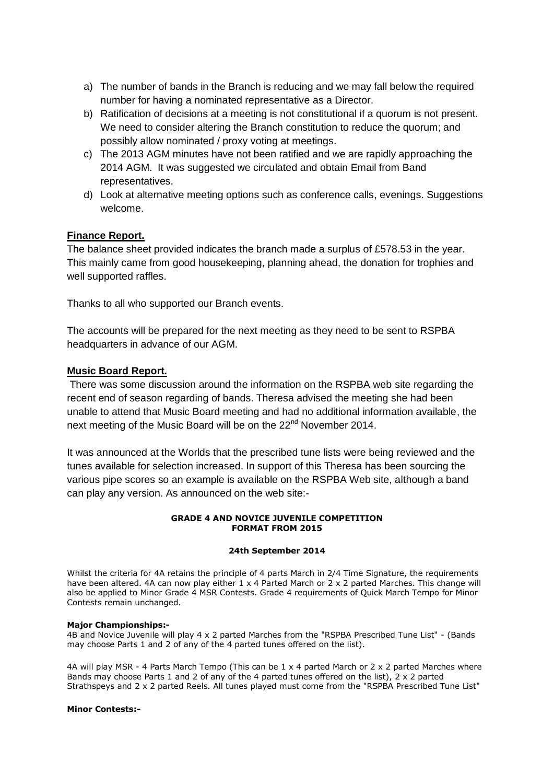- a) The number of bands in the Branch is reducing and we may fall below the required number for having a nominated representative as a Director.
- b) Ratification of decisions at a meeting is not constitutional if a quorum is not present. We need to consider altering the Branch constitution to reduce the quorum; and possibly allow nominated / proxy voting at meetings.
- c) The 2013 AGM minutes have not been ratified and we are rapidly approaching the 2014 AGM. It was suggested we circulated and obtain Email from Band representatives.
- d) Look at alternative meeting options such as conference calls, evenings. Suggestions welcome.

## **Finance Report.**

The balance sheet provided indicates the branch made a surplus of £578.53 in the year. This mainly came from good housekeeping, planning ahead, the donation for trophies and well supported raffles.

Thanks to all who supported our Branch events.

The accounts will be prepared for the next meeting as they need to be sent to RSPBA headquarters in advance of our AGM.

## **Music Board Report.**

There was some discussion around the information on the RSPBA web site regarding the recent end of season regarding of bands. Theresa advised the meeting she had been unable to attend that Music Board meeting and had no additional information available, the next meeting of the Music Board will be on the 22<sup>nd</sup> November 2014.

It was announced at the Worlds that the prescribed tune lists were being reviewed and the tunes available for selection increased. In support of this Theresa has been sourcing the various pipe scores so an example is available on the RSPBA Web site, although a band can play any version. As announced on the web site:-

#### **GRADE 4 AND NOVICE JUVENILE COMPETITION FORMAT FROM 2015**

#### **24th September 2014**

Whilst the criteria for 4A retains the principle of 4 parts March in 2/4 Time Signature, the requirements have been altered. 4A can now play either 1 x 4 Parted March or 2 x 2 parted Marches. This change will also be applied to Minor Grade 4 MSR Contests. Grade 4 requirements of Quick March Tempo for Minor Contests remain unchanged.

#### **Major Championships:-**

4B and Novice Juvenile will play 4 x 2 parted Marches from the "RSPBA Prescribed Tune List" - (Bands may choose Parts 1 and 2 of any of the 4 parted tunes offered on the list).

4A will play MSR - 4 Parts March Tempo (This can be 1 x 4 parted March or 2 x 2 parted Marches where Bands may choose Parts 1 and 2 of any of the 4 parted tunes offered on the list), 2 x 2 parted Strathspeys and 2 x 2 parted Reels. All tunes played must come from the "RSPBA Prescribed Tune List"

#### **Minor Contests:-**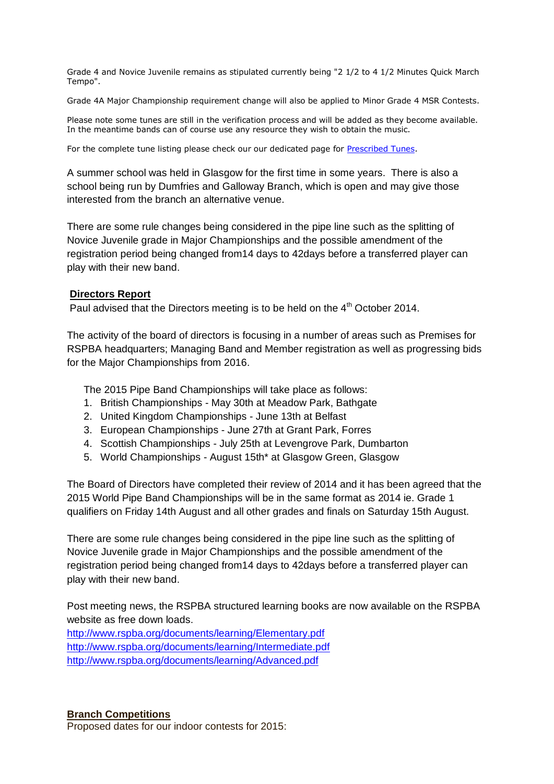Grade 4 and Novice Juvenile remains as stipulated currently being "2 1/2 to 4 1/2 Minutes Quick March Tempo".

Grade 4A Major Championship requirement change will also be applied to Minor Grade 4 MSR Contests.

Please note some tunes are still in the verification process and will be added as they become available. In the meantime bands can of course use any resource they wish to obtain the music.

For the complete tune listing please check our our dedicated page for [Prescribed Tunes.](http://www.rspba.org/html/prescribedtunes.php)

A summer school was held in Glasgow for the first time in some years. There is also a school being run by Dumfries and Galloway Branch, which is open and may give those interested from the branch an alternative venue.

There are some rule changes being considered in the pipe line such as the splitting of Novice Juvenile grade in Major Championships and the possible amendment of the registration period being changed from14 days to 42days before a transferred player can play with their new band.

## **Directors Report**

Paul advised that the Directors meeting is to be held on the  $4<sup>th</sup>$  October 2014.

The activity of the board of directors is focusing in a number of areas such as Premises for RSPBA headquarters; Managing Band and Member registration as well as progressing bids for the Major Championships from 2016.

The 2015 Pipe Band Championships will take place as follows:

- 1. British Championships May 30th at Meadow Park, Bathgate
- 2. United Kingdom Championships June 13th at Belfast
- 3. European Championships June 27th at Grant Park, Forres
- 4. Scottish Championships July 25th at Levengrove Park, Dumbarton
- 5. World Championships August 15th\* at Glasgow Green, Glasgow

The Board of Directors have completed their review of 2014 and it has been agreed that the 2015 World Pipe Band Championships will be in the same format as 2014 ie. Grade 1 qualifiers on Friday 14th August and all other grades and finals on Saturday 15th August.

There are some rule changes being considered in the pipe line such as the splitting of Novice Juvenile grade in Major Championships and the possible amendment of the registration period being changed from14 days to 42days before a transferred player can play with their new band.

Post meeting news, the RSPBA structured learning books are now available on the RSPBA website as free down loads.

<http://www.rspba.org/documents/learning/Elementary.pdf> <http://www.rspba.org/documents/learning/Intermediate.pdf> <http://www.rspba.org/documents/learning/Advanced.pdf>

## **Branch Competitions**

Proposed dates for our indoor contests for 2015: